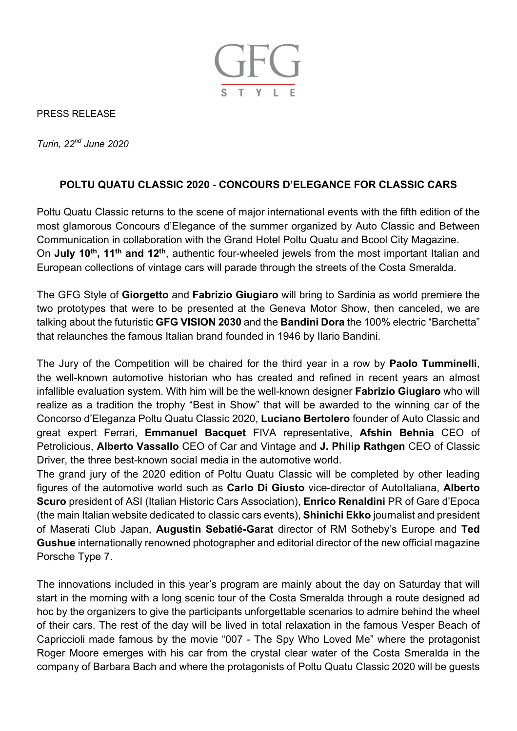

PRESS RELEASE

*Turin, 22nd June 2020*

## **POLTU QUATU CLASSIC 2020 - CONCOURS D'ELEGANCE FOR CLASSIC CARS**

Poltu Quatu Classic returns to the scene of major international events with the fifth edition of the most glamorous Concours d'Elegance of the summer organized by Auto Classic and Between Communication in collaboration with the Grand Hotel Poltu Quatu and Bcool City Magazine. On **July 10th, 11th and 12th**, authentic four-wheeled jewels from the most important Italian and European collections of vintage cars will parade through the streets of the Costa Smeralda.

The GFG Style of **Giorgetto** and **Fabrizio Giugiaro** will bring to Sardinia as world premiere the two prototypes that were to be presented at the Geneva Motor Show, then canceled, we are talking about the futuristic **GFG VISION 2030** and the **Bandini Dora** the 100% electric "Barchetta" that relaunches the famous Italian brand founded in 1946 by Ilario Bandini.

The Jury of the Competition will be chaired for the third year in a row by **Paolo Tumminelli**, the well-known automotive historian who has created and refined in recent years an almost infallible evaluation system. With him will be the well-known designer **Fabrizio Giugiaro** who will realize as a tradition the trophy "Best in Show" that will be awarded to the winning car of the Concorso d'Eleganza Poltu Quatu Classic 2020, **Luciano Bertolero** founder of Auto Classic and great expert Ferrari, **Emmanuel Bacquet** FIVA representative, **Afshin Behnia** CEO of Petrolicious, **Alberto Vassallo** CEO of Car and Vintage and **J. Philip Rathgen** CEO of Classic Driver, the three best-known social media in the automotive world.

The grand jury of the 2020 edition of Poltu Quatu Classic will be completed by other leading figures of the automotive world such as **Carlo Di Giusto** vice-director of AutoItaliana, **Alberto Scuro** president of ASI (Italian Historic Cars Association), **Enrico Renaldini** PR of Gare d'Epoca (the main Italian website dedicated to classic cars events), **Shinichi Ekko** journalist and president of Maserati Club Japan, **Augustin Sebatié-Garat** director of RM Sotheby's Europe and **Ted Gushue** internationally renowned photographer and editorial director of the new official magazine Porsche Type 7.

The innovations included in this year's program are mainly about the day on Saturday that will start in the morning with a long scenic tour of the Costa Smeralda through a route designed ad hoc by the organizers to give the participants unforgettable scenarios to admire behind the wheel of their cars. The rest of the day will be lived in total relaxation in the famous Vesper Beach of Capriccioli made famous by the movie "007 - The Spy Who Loved Me" where the protagonist Roger Moore emerges with his car from the crystal clear water of the Costa Smeralda in the company of Barbara Bach and where the protagonists of Poltu Quatu Classic 2020 will be guests